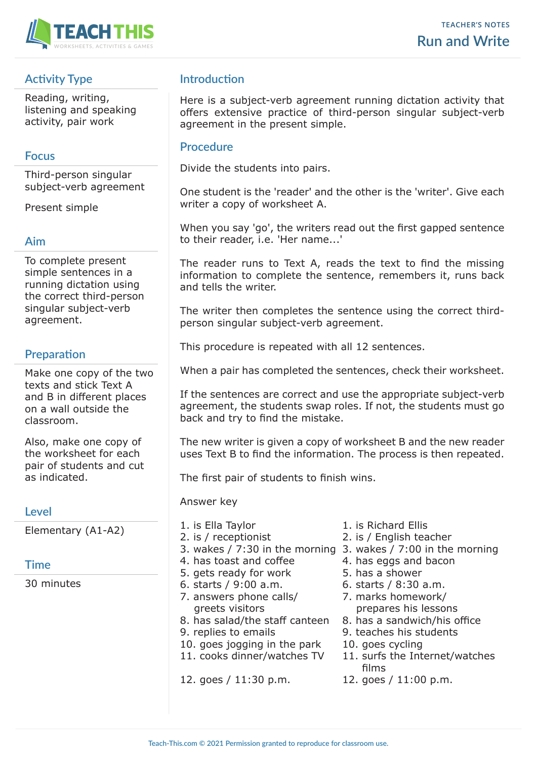

# **Activity Type**

Reading, writing, listening and speaking activity, pair work

### **Focus**

Third-person singular subject-verb agreement

Present simple

### **Aim**

To complete present simple sentences in a running dictation using the correct third-person singular subject-verb agreement.

# **Preparation**

Make one copy of the two texts and stick Text A and B in different places on a wall outside the classroom.

Also, make one copy of the worksheet for each pair of students and cut as indicated.

### **Level**

Elementary (A1-A2)

### **Time**

30 minutes

## **Introduction**

Here is a subject-verb agreement running dictation activity that offers extensive practice of third-person singular subject-verb agreement in the present simple.

### **Procedure**

Divide the students into pairs.

One student is the 'reader' and the other is the 'writer'. Give each writer a copy of worksheet A.

When you say 'go', the writers read out the first gapped sentence to their reader, i.e. 'Her name...'

The reader runs to Text A, reads the text to find the missing information to complete the sentence, remembers it, runs back and tells the writer.

The writer then completes the sentence using the correct thirdperson singular subject-verb agreement.

This procedure is repeated with all 12 sentences.

When a pair has completed the sentences, check their worksheet.

If the sentences are correct and use the appropriate subject-verb agreement, the students swap roles. If not, the students must go back and try to find the mistake.

The new writer is given a copy of worksheet B and the new reader uses Text B to find the information. The process is then repeated.

The first pair of students to finish wins.

Answer key

- 
- 
- 
- 
- 
- 
- 
- 
- 
- 10. goes jogging in the park 10. goes cycling
- 
- 12. goes / 11:30 p.m. 12. goes / 11:00 p.m.
- 1. is Ella Taylor 1. is Richard Ellis
- 2. is / receptionist 2. is / English teacher
- 3. wakes / 7:30 in the morning 3. wakes / 7:00 in the morning
- 4. has toast and coffee 4. has eggs and bacon
- 5. gets ready for work 5. has a shower
- 6. starts / 9:00 a.m. 6. starts / 8:30 a.m.
- 7. answers phone calls/ 7. marks homework/ greets visitors **by the contract of the prepares** his lessons
- 8. has salad/the staff canteen 8. has a sandwich/his office
- 9. replies to emails 9. teaches his students
	-
- 11. cooks dinner/watches TV 11. surfs the Internet/watches films
	-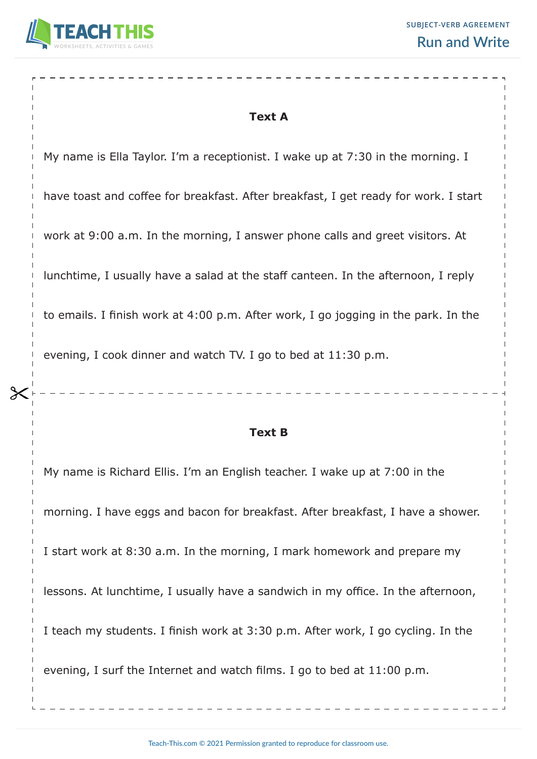

## **Text A**

My name is Ella Taylor. I'm a receptionist. I wake up at 7:30 in the morning. I

have toast and coffee for breakfast. After breakfast, I get ready for work. I start

work at 9:00 a.m. In the morning, I answer phone calls and greet visitors. At

lunchtime, I usually have a salad at the staff canteen. In the afternoon, I reply

to emails. I finish work at 4:00 p.m. After work, I go jogging in the park. In the

evening, I cook dinner and watch TV. I go to bed at 11:30 p.m.

### **Text B**

My name is Richard Ellis. I'm an English teacher. I wake up at 7:00 in the morning. I have eggs and bacon for breakfast. After breakfast, I have a shower. I start work at 8:30 a.m. In the morning, I mark homework and prepare my lessons. At lunchtime, I usually have a sandwich in my office. In the afternoon, I teach my students. I finish work at 3:30 p.m. After work, I go cycling. In the evening, I surf the Internet and watch films. I go to bed at 11:00 p.m.